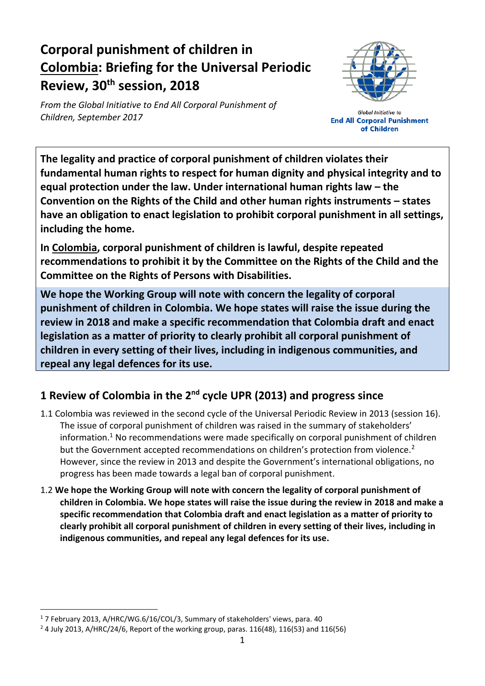# **Corporal punishment of children in Colombia: Briefing for the Universal Periodic Review, 30th session, 2018**

*From the Global Initiative to End All Corporal Punishment of Children, September 2017*



**Global Initiative to End All Corporal Punishment** of Children

**The legality and practice of corporal punishment of children violates their fundamental human rights to respect for human dignity and physical integrity and to equal protection under the law. Under international human rights law – the Convention on the Rights of the Child and other human rights instruments – states have an obligation to enact legislation to prohibit corporal punishment in all settings, including the home.**

**In Colombia, corporal punishment of children is lawful, despite repeated recommendations to prohibit it by the Committee on the Rights of the Child and the Committee on the Rights of Persons with Disabilities.**

**We hope the Working Group will note with concern the legality of corporal punishment of children in Colombia. We hope states will raise the issue during the review in 2018 and make a specific recommendation that Colombia draft and enact legislation as a matter of priority to clearly prohibit all corporal punishment of children in every setting of their lives, including in indigenous communities, and repeal any legal defences for its use.**

## **1 Review of Colombia in the 2nd cycle UPR (2013) and progress since**

- 1.1 Colombia was reviewed in the second cycle of the Universal Periodic Review in 2013 (session 16). The issue of corporal punishment of children was raised in the summary of stakeholders' information.<sup>1</sup> No recommendations were made specifically on corporal punishment of children but the Government accepted recommendations on children's protection from violence.<sup>2</sup> However, since the review in 2013 and despite the Government's international obligations, no progress has been made towards a legal ban of corporal punishment.
- 1.2 **We hope the Working Group will note with concern the legality of corporal punishment of children in Colombia. We hope states will raise the issue during the review in 2018 and make a specific recommendation that Colombia draft and enact legislation as a matter of priority to clearly prohibit all corporal punishment of children in every setting of their lives, including in indigenous communities, and repeal any legal defences for its use.**

<sup>&</sup>lt;sup>1</sup> 7 February 2013, A/HRC/WG.6/16/COL/3, Summary of stakeholders' views, para. 40

 $24$  July 2013, A/HRC/24/6, Report of the working group, paras. 116(48), 116(53) and 116(56)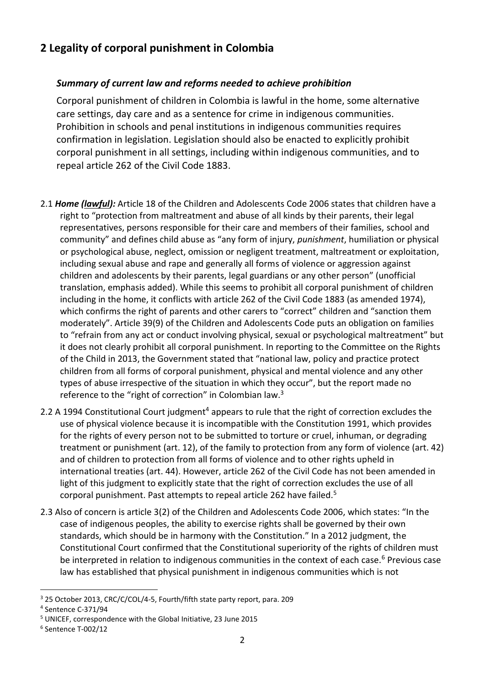### **2 Legality of corporal punishment in Colombia**

#### *Summary of current law and reforms needed to achieve prohibition*

Corporal punishment of children in Colombia is lawful in the home, some alternative care settings, day care and as a sentence for crime in indigenous communities. Prohibition in schools and penal institutions in indigenous communities requires confirmation in legislation. Legislation should also be enacted to explicitly prohibit corporal punishment in all settings, including within indigenous communities, and to repeal article 262 of the Civil Code 1883.

- 2.1 *Home (lawful):* Article 18 of the Children and Adolescents Code 2006 states that children have a right to "protection from maltreatment and abuse of all kinds by their parents, their legal representatives, persons responsible for their care and members of their families, school and community" and defines child abuse as "any form of injury, *punishment*, humiliation or physical or psychological abuse, neglect, omission or negligent treatment, maltreatment or exploitation, including sexual abuse and rape and generally all forms of violence or aggression against children and adolescents by their parents, legal guardians or any other person" (unofficial translation, emphasis added). While this seems to prohibit all corporal punishment of children including in the home, it conflicts with article 262 of the Civil Code 1883 (as amended 1974), which confirms the right of parents and other carers to "correct" children and "sanction them moderately". Article 39(9) of the Children and Adolescents Code puts an obligation on families to "refrain from any act or conduct involving physical, sexual or psychological maltreatment" but it does not clearly prohibit all corporal punishment. In reporting to the Committee on the Rights of the Child in 2013, the Government stated that "national law, policy and practice protect children from all forms of corporal punishment, physical and mental violence and any other types of abuse irrespective of the situation in which they occur", but the report made no reference to the "right of correction" in Colombian law.<sup>3</sup>
- 2.2 A 1994 Constitutional Court judgment<sup>4</sup> appears to rule that the right of correction excludes the use of physical violence because it is incompatible with the Constitution 1991, which provides for the rights of every person not to be submitted to torture or cruel, inhuman, or degrading treatment or punishment (art. 12), of the family to protection from any form of violence (art. 42) and of children to protection from all forms of violence and to other rights upheld in international treaties (art. 44). However, article 262 of the Civil Code has not been amended in light of this judgment to explicitly state that the right of correction excludes the use of all corporal punishment. Past attempts to repeal article 262 have failed.<sup>5</sup>
- 2.3 Also of concern is article 3(2) of the Children and Adolescents Code 2006, which states: "In the case of indigenous peoples, the ability to exercise rights shall be governed by their own standards, which should be in harmony with the Constitution." In a 2012 judgment, the Constitutional Court confirmed that the Constitutional superiority of the rights of children must be interpreted in relation to indigenous communities in the context of each case.<sup>6</sup> Previous case law has established that physical punishment in indigenous communities which is not

<sup>3</sup> 25 October 2013, CRC/C/COL/4-5, Fourth/fifth state party report, para. 209

<sup>4</sup> Sentence C-371/94

<sup>5</sup> UNICEF, correspondence with the Global Initiative, 23 June 2015

<sup>6</sup> Sentence T-002/12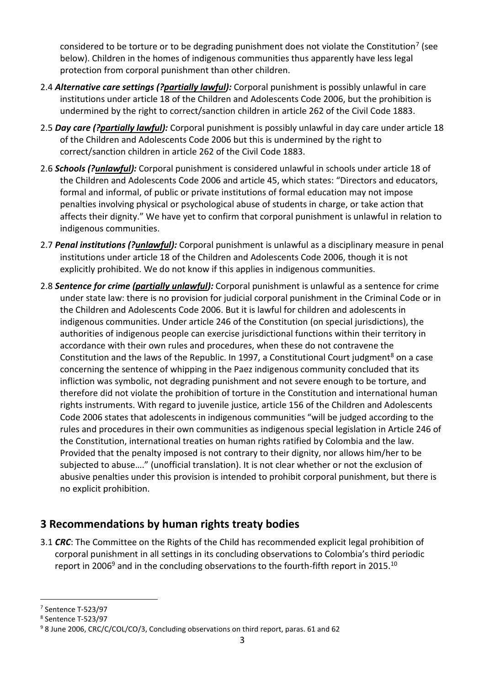considered to be torture or to be degrading punishment does not violate the Constitution<sup>7</sup> (see below). Children in the homes of indigenous communities thus apparently have less legal protection from corporal punishment than other children.

- 2.4 *Alternative care settings (?partially lawful):* Corporal punishment is possibly unlawful in care institutions under article 18 of the Children and Adolescents Code 2006, but the prohibition is undermined by the right to correct/sanction children in article 262 of the Civil Code 1883.
- 2.5 *Day care (?partially lawful):* Corporal punishment is possibly unlawful in day care under article 18 of the Children and Adolescents Code 2006 but this is undermined by the right to correct/sanction children in article 262 of the Civil Code 1883.
- 2.6 *Schools (?unlawful):* Corporal punishment is considered unlawful in schools under article 18 of the Children and Adolescents Code 2006 and article 45, which states: "Directors and educators, formal and informal, of public or private institutions of formal education may not impose penalties involving physical or psychological abuse of students in charge, or take action that affects their dignity." We have yet to confirm that corporal punishment is unlawful in relation to indigenous communities.
- 2.7 *Penal institutions (?unlawful):* Corporal punishment is unlawful as a disciplinary measure in penal institutions under article 18 of the Children and Adolescents Code 2006, though it is not explicitly prohibited. We do not know if this applies in indigenous communities.
- 2.8 *Sentence for crime (partially unlawful):* Corporal punishment is unlawful as a sentence for crime under state law: there is no provision for judicial corporal punishment in the Criminal Code or in the Children and Adolescents Code 2006. But it is lawful for children and adolescents in indigenous communities. Under article 246 of the Constitution (on special jurisdictions), the authorities of indigenous people can exercise jurisdictional functions within their territory in accordance with their own rules and procedures, when these do not contravene the Constitution and the laws of the Republic. In 1997, a Constitutional Court judgment<sup>8</sup> on a case concerning the sentence of whipping in the Paez indigenous community concluded that its infliction was symbolic, not degrading punishment and not severe enough to be torture, and therefore did not violate the prohibition of torture in the Constitution and international human rights instruments. With regard to juvenile justice, article 156 of the Children and Adolescents Code 2006 states that adolescents in indigenous communities "will be judged according to the rules and procedures in their own communities as indigenous special legislation in Article 246 of the Constitution, international treaties on human rights ratified by Colombia and the law. Provided that the penalty imposed is not contrary to their dignity, nor allows him/her to be subjected to abuse…." (unofficial translation). It is not clear whether or not the exclusion of abusive penalties under this provision is intended to prohibit corporal punishment, but there is no explicit prohibition.

### **3 Recommendations by human rights treaty bodies**

3.1 *CRC*: The Committee on the Rights of the Child has recommended explicit legal prohibition of corporal punishment in all settings in its concluding observations to Colombia's third periodic report in 2006 $9$  and in the concluding observations to the fourth-fifth report in 2015.<sup>10</sup>

<sup>7</sup> Sentence T-523/97

<sup>8</sup> Sentence T-523/97

<sup>9</sup> 8 June 2006, CRC/C/COL/CO/3, Concluding observations on third report, paras. 61 and 62